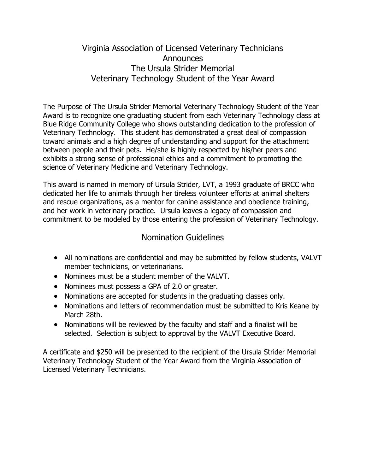## Virginia Association of Licensed Veterinary Technicians **Announces** The Ursula Strider Memorial Veterinary Technology Student of the Year Award

The Purpose of The Ursula Strider Memorial Veterinary Technology Student of the Year Award is to recognize one graduating student from each Veterinary Technology class at Blue Ridge Community College who shows outstanding dedication to the profession of Veterinary Technology. This student has demonstrated a great deal of compassion toward animals and a high degree of understanding and support for the attachment between people and their pets. He/she is highly respected by his/her peers and exhibits a strong sense of professional ethics and a commitment to promoting the science of Veterinary Medicine and Veterinary Technology.

This award is named in memory of Ursula Strider, LVT, a 1993 graduate of BRCC who dedicated her life to animals through her tireless volunteer efforts at animal shelters and rescue organizations, as a mentor for canine assistance and obedience training, and her work in veterinary practice. Ursula leaves a legacy of compassion and commitment to be modeled by those entering the profession of Veterinary Technology.

## Nomination Guidelines

- All nominations are confidential and may be submitted by fellow students, VALVT member technicians, or veterinarians.
- Nominees must be a student member of the VALVT.
- Nominees must possess a GPA of 2.0 or greater.
- Nominations are accepted for students in the graduating classes only.
- Nominations and letters of recommendation must be submitted to Kris Keane by March 28th.
- Nominations will be reviewed by the faculty and staff and a finalist will be selected. Selection is subject to approval by the VALVT Executive Board.

A certificate and \$250 will be presented to the recipient of the Ursula Strider Memorial Veterinary Technology Student of the Year Award from the Virginia Association of Licensed Veterinary Technicians.